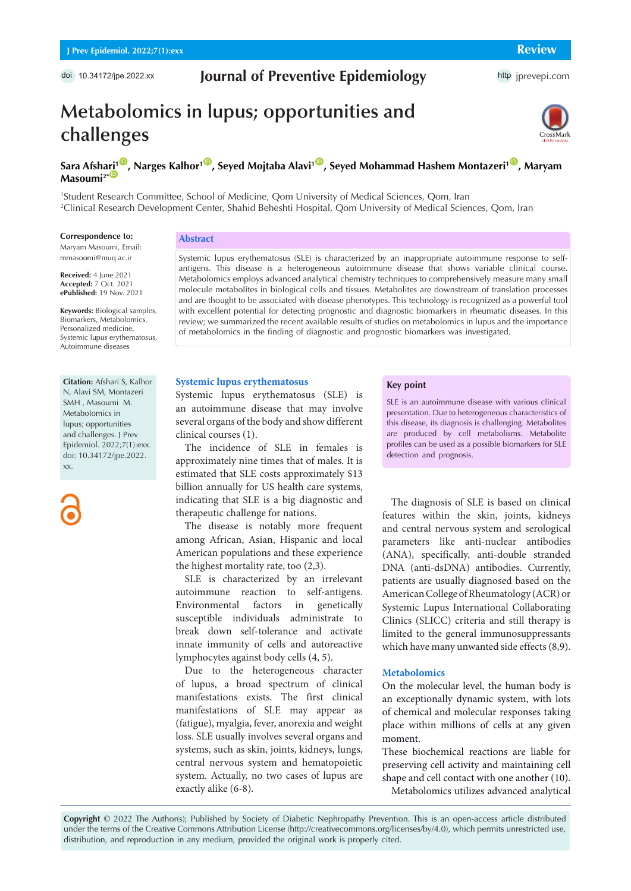doi 10.34172/jpe.2022.xx

## **Journal of Preventive Epidemiology**

http [jprevepi.com](http://jprevepi.com)

# **Metabolomics in lupus; opportunities and challenges**



## **Sara Afsh[ari](https://orcid.org/0000-0003-2635-2656)<sup>1</sup><sup>10</sup>, Narges Kalhor<sup>1</sup><sup>0</sup>, Seyed Mojtaba Alavi<sup>1</sup><sup>0</sup>, Seyed Mohammad Hashem Montazeri<sup>1</sup><sup>0</sup>, Maryam**  $Massoumi<sup>2*</sup>$

1 Student Research Committee, School of Medicine, Qom University of Medical Sciences, Qom, Iran 2 Clinical Research Development Center, Shahid Beheshti Hospital, Qom University of Medical Sciences, Qom, Iran

#### **Correspondence to:**

Maryam Masoumi, Email: mmasoomi@muq.ac.ir

**Received:** 4 June 2021 **Accepted:** 7 Oct. 2021 **ePublished:** 19 Nov. 2021

**Keywords:** Biological samples, Biomarkers, Metabolomics, Personalized medicine, Systemic lupus erythematosus, Autoimmune diseases

**Citation:** Afshari S, Kalhor N, Alavi SM, Montazeri SMH , Masoumi M. Metabolomics in lupus; opportunities and challenges. J Prev Epidemiol. 2022;7(1):exx. doi: 10.34172/jpe.2022. xx.

## **Abstract**

Systemic lupus erythematosus (SLE) is characterized by an inappropriate autoimmune response to selfantigens. This disease is a heterogeneous autoimmune disease that shows variable clinical course. Metabolomics employs advanced analytical chemistry techniques to comprehensively measure many small molecule metabolites in biological cells and tissues. Metabolites are downstream of translation processes and are thought to be associated with disease phenotypes. This technology is recognized as a powerful tool with excellent potential for detecting prognostic and diagnostic biomarkers in rheumatic diseases. In this review; we summarized the recent available results of studies on metabolomics in lupus and the importance of metabolomics in the finding of diagnostic and prognostic biomarkers was investigated.

## **Systemic lupus erythematosus**

Systemic lupus erythematosus (SLE) is an autoimmune disease that may involve several organs of the body and show different clinical courses (1).

The incidence of SLE in females is approximately nine times that of males. It is estimated that SLE costs approximately \$13 billion annually for US health care systems, indicating that SLE is a big diagnostic and therapeutic challenge for nations.

The disease is notably more frequent among African, Asian, Hispanic and local American populations and these experience the highest mortality rate, too (2,3).

SLE is characterized by an irrelevant autoimmune reaction to self-antigens. Environmental factors in genetically susceptible individuals administrate to break down self-tolerance and activate innate immunity of cells and autoreactive lymphocytes against body cells (4, 5).

Due to the heterogeneous character of lupus, a broad spectrum of clinical manifestations exists. The first clinical manifestations of SLE may appear as (fatigue), myalgia, fever, anorexia and weight loss. SLE usually involves several organs and systems, such as skin, joints, kidneys, lungs, central nervous system and hematopoietic system. Actually, no two cases of lupus are exactly alike (6-8).

## **Key point**

SLE is an autoimmune disease with various clinical presentation. Due to heterogeneous characteristics of this disease, its diagnosis is challenging. Metabolites are produced by cell metabolisms. Metabolite profiles can be used as a possible biomarkers for SLE detection and prognosis.

The diagnosis of SLE is based on clinical features within the skin, joints, kidneys and central nervous system and serological parameters like anti-nuclear antibodies (ANA), specifically, anti-double stranded DNA (anti-dsDNA) antibodies. Currently, patients are usually diagnosed based on the American College of Rheumatology (ACR) or Systemic Lupus International Collaborating Clinics (SLICC) criteria and still therapy is limited to the general immunosuppressants which have many unwanted side effects (8,9).

## **Metabolomics**

On the molecular level, the human body is an exceptionally dynamic system, with lots of chemical and molecular responses taking place within millions of cells at any given moment.

These biochemical reactions are liable for preserving cell activity and maintaining cell shape and cell contact with one another (10). Metabolomics utilizes advanced analytical

**Copyright** © 2022 The Author(s); Published by Society of Diabetic Nephropathy Prevention. This is an open-access article distributed under the terms of the Creative Commons Attribution License (http://creativecommons.org/licenses/by/4.0), which permits unrestricted use, distribution, and reproduction in any medium, provided the original work is properly cited.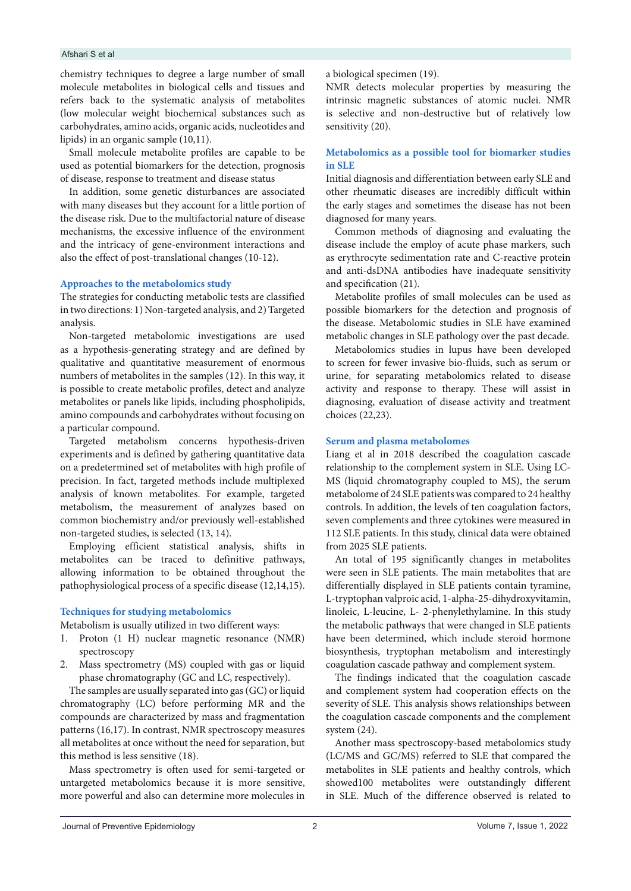## Afshari S et al

chemistry techniques to degree a large number of small molecule metabolites in biological cells and tissues and refers back to the systematic analysis of metabolites (low molecular weight biochemical substances such as carbohydrates, amino acids, organic acids, nucleotides and lipids) in an organic sample (10,11).

Small molecule metabolite profiles are capable to be used as potential biomarkers for the detection, prognosis of disease, response to treatment and disease status

In addition, some genetic disturbances are associated with many diseases but they account for a little portion of the disease risk. Due to the multifactorial nature of disease mechanisms, the excessive influence of the environment and the intricacy of gene-environment interactions and also the effect of post-translational changes (10-12).

## **Approaches to the metabolomics study**

The strategies for conducting metabolic tests are classified in two directions: 1) Non-targeted analysis, and 2) Targeted analysis.

Non-targeted metabolomic investigations are used as a hypothesis-generating strategy and are defined by qualitative and quantitative measurement of enormous numbers of metabolites in the samples (12). In this way, it is possible to create metabolic profiles, detect and analyze metabolites or panels like lipids, including phospholipids, amino compounds and carbohydrates without focusing on a particular compound.

Targeted metabolism concerns hypothesis-driven experiments and is defined by gathering quantitative data on a predetermined set of metabolites with high profile of precision. In fact, targeted methods include multiplexed analysis of known metabolites. For example, targeted metabolism, the measurement of analyzes based on common biochemistry and/or previously well-established non-targeted studies, is selected (13, 14).

Employing efficient statistical analysis, shifts in metabolites can be traced to definitive pathways, allowing information to be obtained throughout the pathophysiological process of a specific disease (12,14,15).

## **Techniques for studying metabolomics**

Metabolism is usually utilized in two different ways:

- 1. Proton (1 H) nuclear magnetic resonance (NMR) spectroscopy
- 2. Mass spectrometry (MS) coupled with gas or liquid phase chromatography (GC and LC, respectively).

The samples are usually separated into gas (GC) or liquid chromatography (LC) before performing MR and the compounds are characterized by mass and fragmentation patterns (16,17). In contrast, NMR spectroscopy measures all metabolites at once without the need for separation, but this method is less sensitive (18).

Mass spectrometry is often used for semi-targeted or untargeted metabolomics because it is more sensitive, more powerful and also can determine more molecules in

a biological specimen (19).

NMR detects molecular properties by measuring the intrinsic magnetic substances of atomic nuclei. NMR is selective and non-destructive but of relatively low sensitivity (20).

## **Metabolomics as a possible tool for biomarker studies in SLE**

Initial diagnosis and differentiation between early SLE and other rheumatic diseases are incredibly difficult within the early stages and sometimes the disease has not been diagnosed for many years.

Common methods of diagnosing and evaluating the disease include the employ of acute phase markers, such as erythrocyte sedimentation rate and C-reactive protein and anti-dsDNA antibodies have inadequate sensitivity and specification (21).

Metabolite profiles of small molecules can be used as possible biomarkers for the detection and prognosis of the disease. Metabolomic studies in SLE have examined metabolic changes in SLE pathology over the past decade.

Metabolomics studies in lupus have been developed to screen for fewer invasive bio-fluids, such as serum or urine, for separating metabolomics related to disease activity and response to therapy. These will assist in diagnosing, evaluation of disease activity and treatment choices (22,23).

## **Serum and plasma metabolomes**

Liang et al in 2018 described the coagulation cascade relationship to the complement system in SLE. Using LC-MS (liquid chromatography coupled to MS), the serum metabolome of 24 SLE patients was compared to 24 healthy controls. In addition, the levels of ten coagulation factors, seven complements and three cytokines were measured in 112 SLE patients. In this study, clinical data were obtained from 2025 SLE patients.

An total of 195 significantly changes in metabolites were seen in SLE patients. The main metabolites that are differentially displayed in SLE patients contain tyramine, L-tryptophan valproic acid, 1-alpha-25-dihydroxyvitamin, linoleic, L-leucine, L- 2-phenylethylamine. In this study the metabolic pathways that were changed in SLE patients have been determined, which include steroid hormone biosynthesis, tryptophan metabolism and interestingly coagulation cascade pathway and complement system.

The findings indicated that the coagulation cascade and complement system had cooperation effects on the severity of SLE. This analysis shows relationships between the coagulation cascade components and the complement system (24).

Another mass spectroscopy-based metabolomics study (LC/MS and GC/MS) referred to SLE that compared the metabolites in SLE patients and healthy controls, which showed100 metabolites were outstandingly different in SLE. Much of the difference observed is related to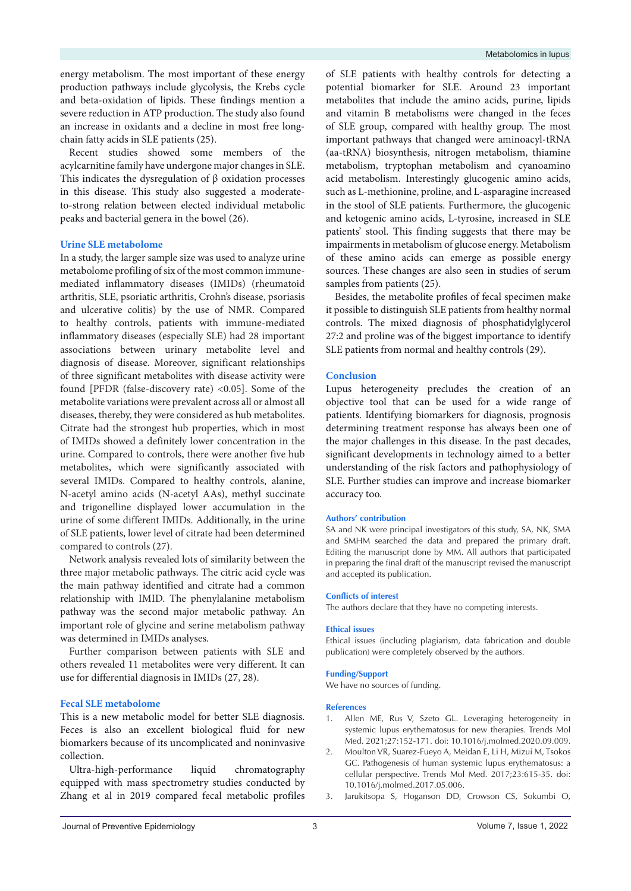energy metabolism. The most important of these energy production pathways include glycolysis, the Krebs cycle and beta-oxidation of lipids. These findings mention a severe reduction in ATP production. The study also found an increase in oxidants and a decline in most free longchain fatty acids in SLE patients (25).

Recent studies showed some members of the acylcarnitine family have undergone major changes in SLE. This indicates the dysregulation of β oxidation processes in this disease. This study also suggested a moderateto-strong relation between elected individual metabolic peaks and bacterial genera in the bowel (26).

## **Urine SLE metabolome**

In a study, the larger sample size was used to analyze urine metabolome profiling of six of the most common immunemediated inflammatory diseases (IMIDs) (rheumatoid arthritis, SLE, psoriatic arthritis, Crohn's disease, psoriasis and ulcerative colitis) by the use of NMR. Compared to healthy controls, patients with immune-mediated inflammatory diseases (especially SLE) had 28 important associations between urinary metabolite level and diagnosis of disease. Moreover, significant relationships of three significant metabolites with disease activity were found [PFDR (false-discovery rate) <0.05]. Some of the metabolite variations were prevalent across all or almost all diseases, thereby, they were considered as hub metabolites. Citrate had the strongest hub properties, which in most of IMIDs showed a definitely lower concentration in the urine. Compared to controls, there were another five hub metabolites, which were significantly associated with several IMIDs. Compared to healthy controls, alanine, N-acetyl amino acids (N-acetyl AAs), methyl succinate and trigonelline displayed lower accumulation in the urine of some different IMIDs. Additionally, in the urine of SLE patients, lower level of citrate had been determined compared to controls (27).

Network analysis revealed lots of similarity between the three major metabolic pathways. The citric acid cycle was the main pathway identified and citrate had a common relationship with IMID. The phenylalanine metabolism pathway was the second major metabolic pathway. An important role of glycine and serine metabolism pathway was determined in IMIDs analyses.

Further comparison between patients with SLE and others revealed 11 metabolites were very different. It can use for differential diagnosis in IMIDs (27, 28).

## **Fecal SLE metabolome**

This is a new metabolic model for better SLE diagnosis. Feces is also an excellent biological fluid for new biomarkers because of its uncomplicated and noninvasive collection.

Ultra-high-performance liquid chromatography equipped with mass spectrometry studies conducted by Zhang et al in 2019 compared fecal metabolic profiles

of SLE patients with healthy controls for detecting a potential biomarker for SLE. Around 23 important metabolites that include the amino acids, purine, lipids and vitamin B metabolisms were changed in the feces of SLE group, compared with healthy group. The most important pathways that changed were aminoacyl-tRNA (aa-tRNA) biosynthesis, nitrogen metabolism, thiamine metabolism, tryptophan metabolism and cyanoamino acid metabolism. Interestingly glucogenic amino acids, such as L-methionine, proline, and L-asparagine increased in the stool of SLE patients. Furthermore, the glucogenic and ketogenic amino acids, L-tyrosine, increased in SLE patients' stool. This finding suggests that there may be impairments in metabolism of glucose energy. Metabolism of these amino acids can emerge as possible energy sources. These changes are also seen in studies of serum samples from patients (25).

Besides, the metabolite profiles of fecal specimen make it possible to distinguish SLE patients from healthy normal controls. The mixed diagnosis of phosphatidylglycerol 27:2 and proline was of the biggest importance to identify SLE patients from normal and healthy controls (29).

## **Conclusion**

Lupus heterogeneity precludes the creation of an objective tool that can be used for a wide range of patients. Identifying biomarkers for diagnosis, prognosis determining treatment response has always been one of the major challenges in this disease. In the past decades, significant developments in technology aimed to a better understanding of the risk factors and pathophysiology of SLE. Further studies can improve and increase biomarker accuracy too.

#### **Authors' contribution**

SA and NK were principal investigators of this study, SA, NK, SMA and SMHM searched the data and prepared the primary draft. Editing the manuscript done by MM. All authors that participated in preparing the final draft of the manuscript revised the manuscript and accepted its publication.

### **Conflicts of interest**

The authors declare that they have no competing interests.

#### **Ethical issues**

Ethical issues (including plagiarism, data fabrication and double publication) were completely observed by the authors.

## **Funding/Support**

We have no sources of funding.

#### **References**

- 1. Allen ME, Rus V, Szeto GL. Leveraging heterogeneity in systemic lupus erythematosus for new therapies. Trends Mol Med. 2021;27:152-171. doi: 10.1016/j.molmed.2020.09.009.
- 2. Moulton VR, Suarez-Fueyo A, Meidan E, Li H, Mizui M, Tsokos GC. Pathogenesis of human systemic lupus erythematosus: a cellular perspective. Trends Mol Med. 2017;23:615-35. doi: 10.1016/j.molmed.2017.05.006.
- 3. Jarukitsopa S, Hoganson DD, Crowson CS, Sokumbi O,